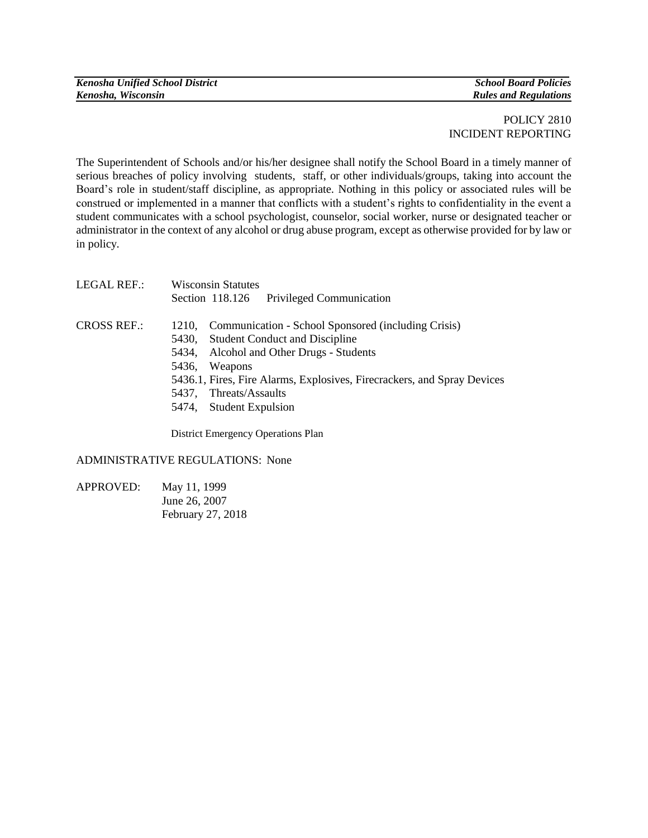| <b>Kenosha Unified School District</b> |  |
|----------------------------------------|--|
| Kenosha, Wisconsin                     |  |

*Kenosha Unified School District School Board Policies*  $Rules$  *and Regulations* 

## POLICY 2810 INCIDENT REPORTING

The Superintendent of Schools and/or his/her designee shall notify the School Board in a timely manner of serious breaches of policy involving students, staff, or other individuals/groups, taking into account the Board's role in student/staff discipline, as appropriate. Nothing in this policy or associated rules will be construed or implemented in a manner that conflicts with a student's rights to confidentiality in the event a student communicates with a school psychologist, counselor, social worker, nurse or designated teacher or administrator in the context of any alcohol or drug abuse program, except as otherwise provided for by law or in policy.

| LEGAL REF.: | <b>Wisconsin Statutes</b>                                                                                                                                                                                                                    |
|-------------|----------------------------------------------------------------------------------------------------------------------------------------------------------------------------------------------------------------------------------------------|
|             | Section 118.126 Privileged Communication                                                                                                                                                                                                     |
| CROSS REF.: | 1210, Communication - School Sponsored (including Crisis)<br>5430, Student Conduct and Discipline<br>5434, Alcohol and Other Drugs - Students<br>5436,<br>Weapons<br>5436.1, Fires, Fire Alarms, Explosives, Firecrackers, and Spray Devices |
|             | 5437, Threats/Assaults<br>5474, Student Expulsion                                                                                                                                                                                            |
|             | District Emergency Operations Plan                                                                                                                                                                                                           |

## ADMINISTRATIVE REGULATIONS: None

APPROVED: May 11, 1999 June 26, 2007 February 27, 2018